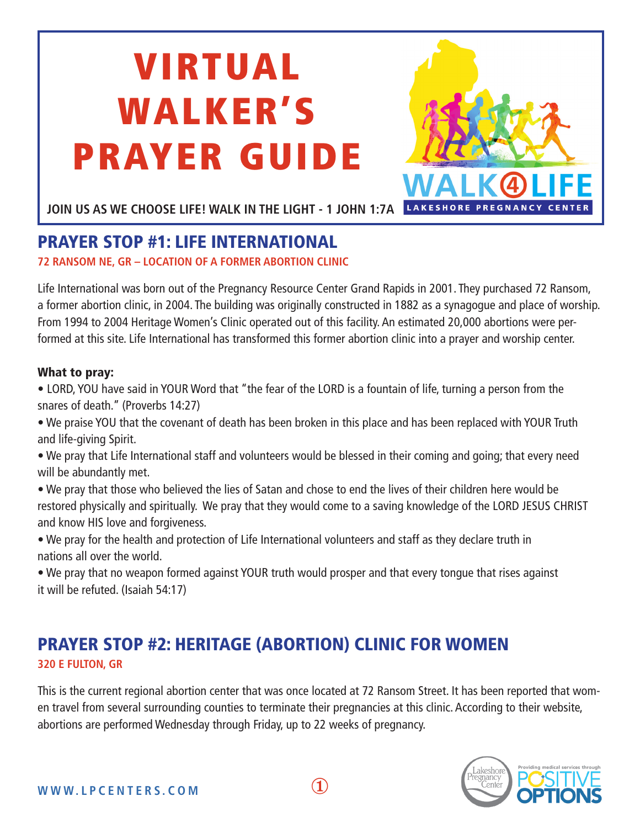# VIRTUAL WALKER'S PRAYER GUIDE



**JOIN US AS WE CHOOSE LIFE! WALK IN THE LIGHT - 1 JOHN 1:7A**

## PRAYER STOP #1: LIFE INTERNATIONAL

**72 RANSOM NE, GR – LOCATION OF A FORMER ABORTION CLINIC**

Life International was born out of the Pregnancy Resource Center Grand Rapids in 2001. They purchased 72 Ransom, a former abortion clinic, in 2004. The building was originally constructed in 1882 as a synagogue and place of worship. From 1994 to 2004 Heritage Women's Clinic operated out of this facility. An estimated 20,000 abortions were performed at this site. Life International has transformed this former abortion clinic into a prayer and worship center.

#### What to pray:

• LORD, YOU have said in YOUR Word that "the fear of the LORD is a fountain of life, turning a person from the snares of death." (Proverbs 14:27)

• We praise YOU that the covenant of death has been broken in this place and has been replaced with YOUR Truth and life-giving Spirit.

• We pray that Life International staff and volunteers would be blessed in their coming and going; that every need will be abundantly met.

- We pray that those who believed the lies of Satan and chose to end the lives of their children here would be restored physically and spiritually. We pray that they would come to a saving knowledge of the LORD JESUS CHRIST and know HIS love and forgiveness.
- We pray for the health and protection of Life International volunteers and staff as they declare truth in nations all over the world.

• We pray that no weapon formed against YOUR truth would prosper and that every tongue that rises against it will be refuted. (Isaiah 54:17)

## PRAYER STOP #2: HERITAGE (ABORTION) CLINIC FOR WOMEN **320 E FULTON, GR**

This is the current regional abortion center that was once located at 72 Ransom Street. It has been reported that women travel from several surrounding counties to terminate their pregnancies at this clinic. According to their website, abortions are performed Wednesday through Friday, up to 22 weeks of pregnancy.



WWW.LPCENTERS.COM  $1$